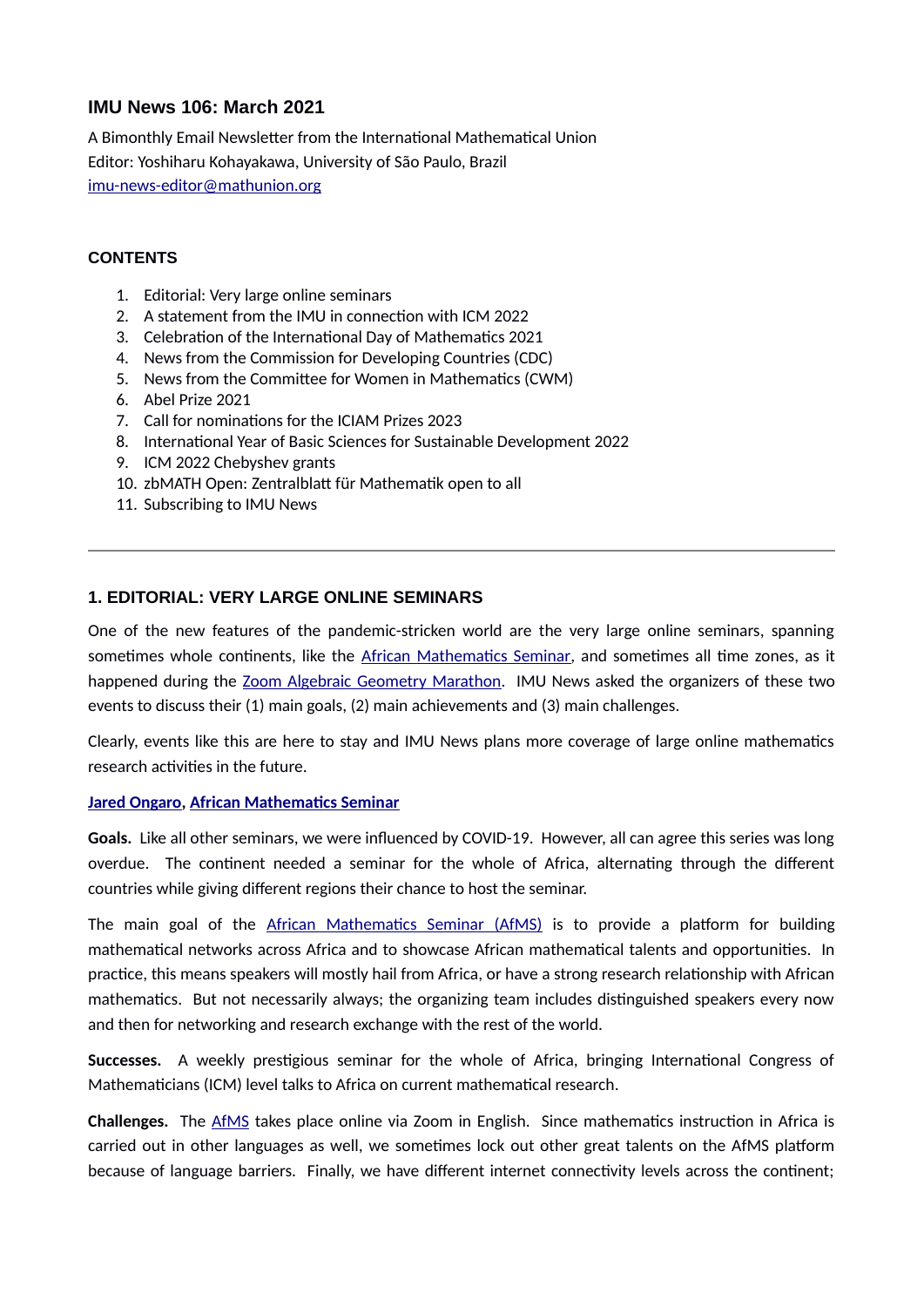# **IMU News 106: March 2021**

A Bimonthly Email Newsletter from the International Mathematical Union Editor: Yoshiharu Kohayakawa, University of São Paulo, Brazil imu-news-editor@mathunion.org

### **CONTENTS**

- 1. Editorial: Very large online seminars
- 2. A statement from the IMU in connection with ICM 2022
- 3. Celebration of the International Day of Mathematics 2021
- 4. News from the Commission for Developing Countries (CDC)
- 5. News from the Committee for Women in Mathematics (CWM)
- 6. Abel Prize 2021
- 7. Call for nominations for the ICIAM Prizes 2023
- 8. International Year of Basic Sciences for Sustainable Development 2022
- 9. ICM 2022 Chebyshev grants
- 10. zbMATH Open: Zentralblatt für Mathematik open to all
- 11. Subscribing to IMU News

### **1. EDITORIAL: VERY LARGE ONLINE SEMINARS**

One of the new features of the pandemic-stricken world are the very large online seminars, spanning sometimes whole continents, like the A frican Mathematics Seminar, and sometimes all time zones, as it happened during the Zoom Algebraic Geometry Marathon. IMU News asked the organizers of these two events to discuss their (1) main goals, (2) main achievements and (3) main challenges.

Clearly, events like this are here to stay and IMU News plans more coverage of large online mathematics research activities in the future.

#### **[Jared Ongaro,](https://profiles.uonbi.ac.ke/ongaro) African Mathematics Seminar**

Goals. Like all other seminars, we were influenced by COVID-19. However, all can agree this series was long overdue. The continent needed a seminar for the whole of Africa, alternating through the different countries while giving different regions their chance to host the seminar.

The main goal of the African Mathematics Seminar (AfMS) is to provide a platform for building mathematical networks across Africa and to showcase African mathematical talents and opportunities. In practice, this means speakers will mostly hail from Africa, or have a strong research relationship with African mathematics. But not necessarily always; the organizing team includes distinguished speakers every now and then for networking and research exchange with the rest of the world.

**Successes.** A weekly prestigious seminar for the whole of Africa, bringing International Congress of Mathematicians (ICM) level talks to Africa on current mathematical research.

**Challenges.** The AfMS takes place online via Zoom in English. Since mathematics instruction in Africa is carried out in other languages as well, we sometimes lock out other great talents on the AfMS platform because of language barriers. Finally, we have different internet connectivity levels across the continent;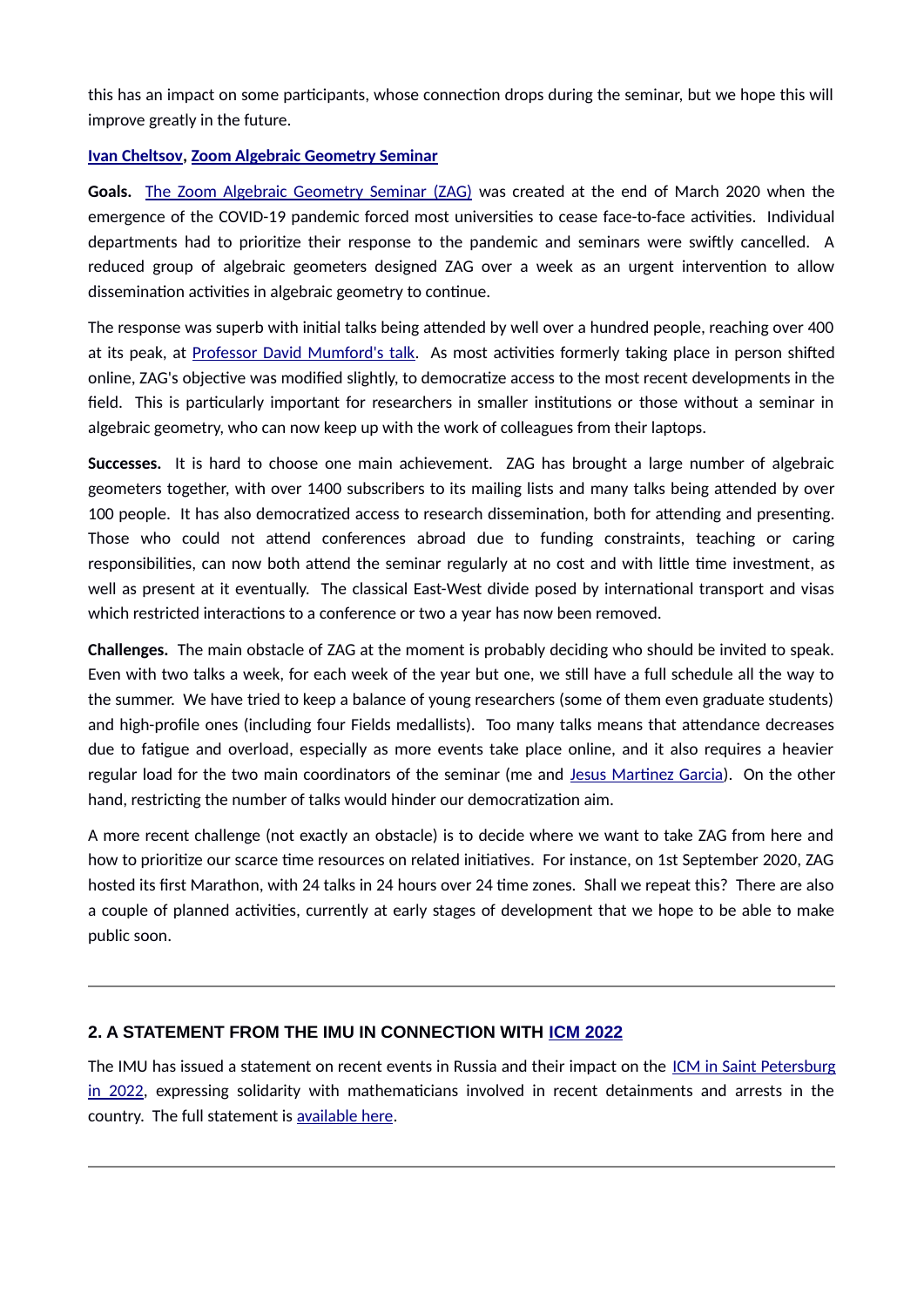this has an impact on some participants, whose connection drops during the seminar, but we hope this will improve greatly in the future.

### **Ivan Cheltsov, Zoom Algebraic Geometry Seminar**

Goals. The Zoom Algebraic Geometry Seminar (ZAG) was created at the end of March 2020 when the emergence of the COVID-19 pandemic forced most universities to cease face-to-face activities. Individual departments had to prioritize their response to the pandemic and seminars were swiftly cancelled. A reduced group of algebraic geometers designed ZAG over a week as an urgent intervention to allow dissemination activities in algebraic geometry to continue.

The response was superb with initial talks being attended by well over a hundred people, reaching over 400 at its peak, at Professor David Mumford's talk. As most activities formerly taking place in person shifted online, ZAG's objective was modified slightly, to democratize access to the most recent developments in the field. This is particularly important for researchers in smaller institutions or those without a seminar in algebraic geometry, who can now keep up with the work of colleagues from their laptops.

**Successes.** It is hard to choose one main achievement. ZAG has brought a large number of algebraic geometers together, with over 1400 subscribers to its mailing lists and many talks being attended by over 100 people. It has also democratized access to research dissemination, both for attending and presenting. Those who could not attend conferences abroad due to funding constraints, teaching or caring responsibilities, can now both attend the seminar regularly at no cost and with little time investment, as well as present at it eventually. The classical East-West divide posed by international transport and visas which restricted interactions to a conference or two a year has now been removed.

**Challenges.** The main obstacle of ZAG at the moment is probably deciding who should be invited to speak. Even with two talks a week, for each week of the year but one, we still have a full schedule all the way to the summer. We have tried to keep a balance of young researchers (some of them even graduate students) and high-profile ones (including four Fields medallists). Too many talks means that attendance decreases due to fatigue and overload, especially as more events take place online, and it also requires a heavier regular load for the two main coordinators of the seminar (me and Jesus Martinez Garcia). On the other hand, restricting the number of talks would hinder our democratization aim.

A more recent challenge (not exactly an obstacle) is to decide where we want to take ZAG from here and how to prioritize our scarce time resources on related initiatives. For instance, on 1st September 2020, ZAG hosted its first Marathon, with 24 talks in 24 hours over 24 time zones. Shall we repeat this? There are also a couple of planned activities, currently at early stages of development that we hope to be able to make public soon.

# **2. A STATEMENT FROM THE IMU IN CONNECTION WITH [ICM 2022](https://icm2022.org/)**

The IMU has issued a statement on recent events in Russia and their impact on the ICM in Saint Petersburg [in 2022,](https://icm2022.org/) expressing solidarity with mathematicians involved in recent detainments and arrests in the country. The full statement is available here.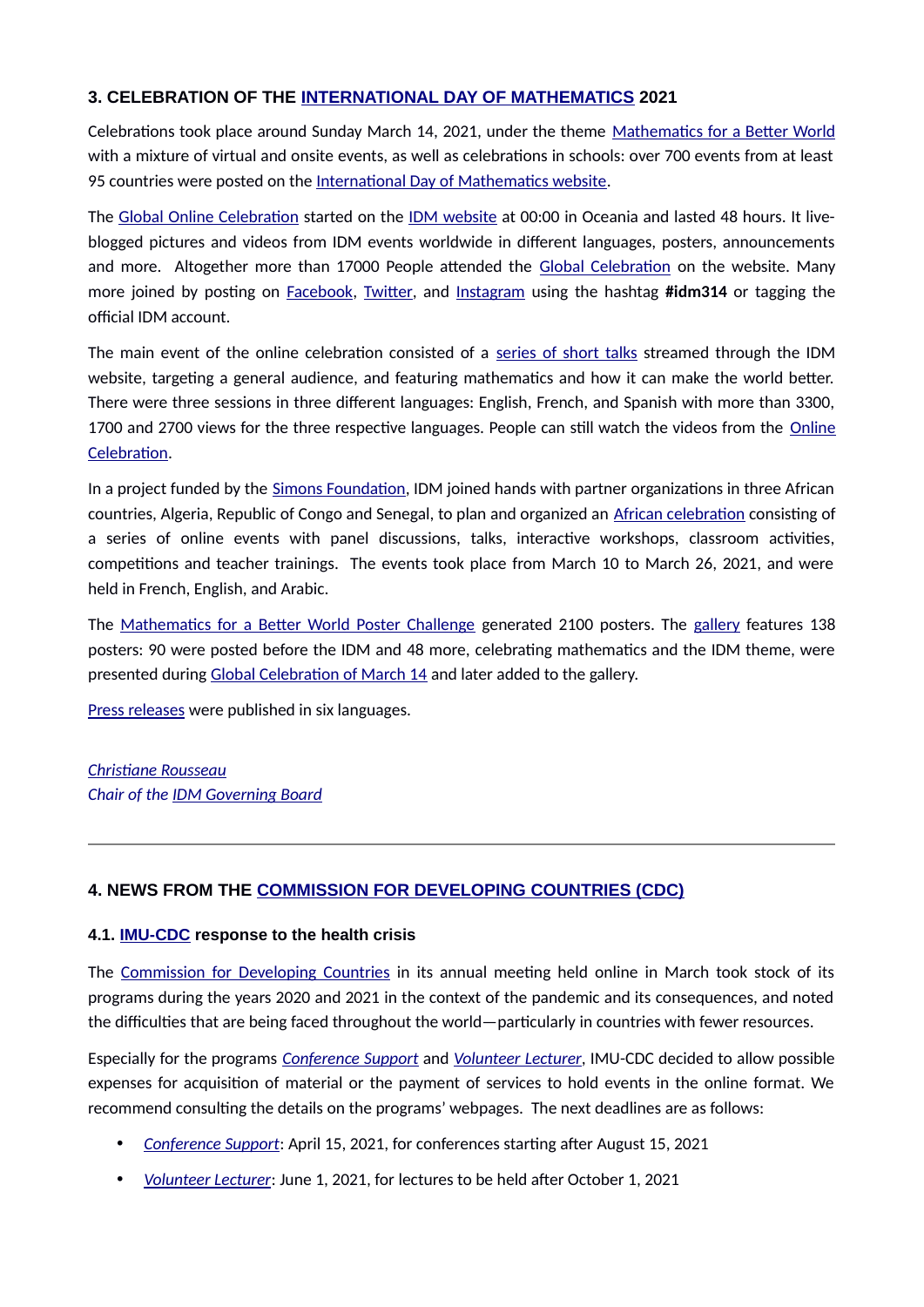# **3. CELEBRATION OF THE [INTERNATIONAL DAY OF MATHEMATICS](https://www.idm314.org/) 2021**

Celebrations took place around Sunday March 14, 2021, under the theme Mathematics for a Better World with a mixture of virtual and onsite events, as well as celebrations in schools: over 700 events from at least 95 countries were posted on the International Day of Mathematics website.

The Global Online Celebration started on the [IDM website](https://www.idm314.org/) at 00:00 in Oceania and lasted 48 hours. It liveblogged pictures and videos from IDM events worldwide in different languages, posters, announcements and more. Altogether more than 17000 People attended the Global Celebration on the website. Many more joined by posting on **Facebook, Twitter**, and Instagram using the hashtag **#idm314** or tagging the official IDM account.

The main event of the online celebration consisted of a series of short talks streamed through the IDM website, targeting a general audience, and featuring mathematics and how it can make the world better. There were three sessions in three different languages: English, French, and Spanish with more than 3300, 1700 and 2700 views for the three respective languages. People can still watch the videos from the [Online](https://www.idm314.org/launch-2021.html) Celebration.

In a project funded by the Simons Foundation, IDM joined hands with partner organizations in three African countries, Algeria, Republic of Congo and Senegal, to plan and organized an African celebration consisting of a series of online events with panel discussions, talks, interactive workshops, classroom activities, competitions and teacher trainings. The events took place from March 10 to March 26, 2021, and were held in French, English, and Arabic.

The Mathematics for a Better World Poster Challenge generated 2100 posters. The gallery features 138 posters: 90 were posted before the IDM and 48 more, celebrating mathematics and the IDM theme, were presented during Global Celebration of March 14 and later added to the gallery.

Press releases were published in six languages.

# *[Christiae Rousseiu](https://dms.umontreal.ca/fr/repertoire-departement/professeurs/portrait/rousseac)* **Chair of the IDM Governing Board**

# **4. NEWS FROM THE [COMMISSION FOR DEVELOPING COUNTRIES \(CDC\)](https://www.mathunion.org/cdc)**

#### **4.1. [IMU-CDC](https://www.mathunion.org/cdc) response to the health crisis**

The Commission for Developing Countries in its annual meeting held online in March took stock of its programs during the years 2020 and 2021 in the context of the pandemic and its consequences, and noted the difficulties that are being faced throughout the world—particularly in countries with fewer resources.

Especially for the programs *Conference Support* and *Volunteer Lecturer*, IMU-CDC decided to allow possible expenses for acquisition of material or the payment of services to hold events in the online format. We recommend consulting the details on the programs' webpages. The next deadlines are as follows:

- *Conference Support*: April 15, 2021, for conferences starting after August 15, 2021
- *Volunteer Lecturer: June 1, 2021, for lectures to be held after October 1, 2021*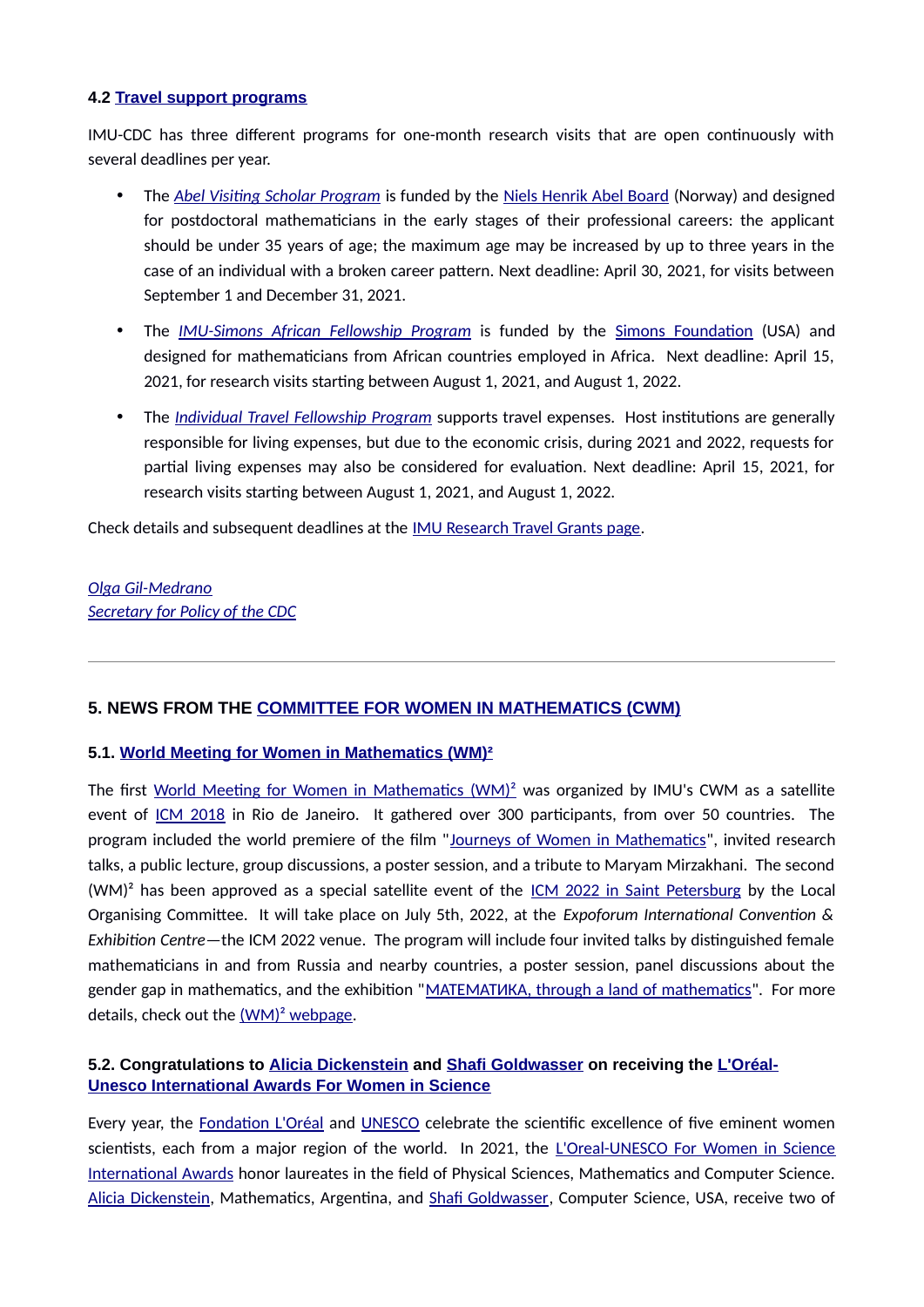#### **4.2 [Travel support programs](https://www.mathunion.org/cdc/grants/research-travel-grants)**

IMU-CDC has three different programs for one-month research visits that are open continuously with several deadlines per year.

- The *Abel Visiting Scholar Program* is funded by the Niels Henrik Abel Board (Norway) and designed for postdoctoral mathematicians in the early stages of their professional careers: the applicant should be under 35 years of age; the maximum age may be increased by up to three years in the case of an individual with a broken career pattern. Next deadline: April 30, 2021, for visits between September 1 and December 31, 2021.
- The *IMU-Simons African Fellowship Program* is funded by the Simons Foundation (USA) and designed for mathematicians from African countries employed in Africa. Next deadline: April 15, 2021, for research visits starting between August 1, 2021, and August 1, 2022.
- The *Individual Travel Fellowship Program* supports travel expenses. Host institutions are generally responsible for living expenses, but due to the economic crisis, during 2021 and 2022, requests for partial living expenses may also be considered for evaluation. Next deadline: April 15, 2021, for research visits starting between August 1, 2021, and August 1, 2022.

Check details and subsequent deadlines at the **IMU Research Travel Grants page**.

**Olga Gil-Medrano Secretary for Policy of the CDC** 

# **5. NEWS FROM THE [COMMITTEE FOR WOMEN IN MATHEMATICS \(CWM\)](https://www.mathunion.org/cwm)**

#### **5.1. [World Meeting for Women in Mathematics \(WM\)²](https://www.worldwomeninmaths.org/)**

The first World Meeting for Women in Mathematics  $(WM)^2$  was organized by IMU's CWM as a satellite event of [ICM 2018](https://www.mathunion.org/fileadmin/IMU/ICM2018/static_site/portal/main.html) in Rio de Janeiro. It gathered over 300 participants, from over 50 countries. The program included the world premiere of the film "Journeys of Women in Mathematics", invited research talks, a public lecture, group discussions, a poster session, and a tribute to Maryam Mirzakhani. The second  $(WM)^2$  has been approved as a special satellite event of the  $ICM 2022$  in Saint Petersburg</u> by the Local Organising Committee. It will take place on July 5th, 2022, at the *Expoforum International Convention & Exhibition Centre*—the ICM 2022 venue. The program will include four invited talks by distinguished female mathematicians in and from Russia and nearby countries, a poster session, panel discussions about the gender gap in mathematics, and the exhibition "MATEMATUKA, through a land of mathematics". For more details, check out the  $(WM)^2$  webpage.

# **5.2. Congratulations to [Alicia Dickenstein](http://mate.dm.uba.ar/~alidick/) and [Shafi Goldwasser](http://people.csail.mit.edu/shafi/) on receiving the [L'Oréal-](https://en.unesco.org/science-sustainable-future/women-in-science)[Unesco International Awards For Women in Science](https://en.unesco.org/science-sustainable-future/women-in-science)**

Every year, the **Fondation L'Oréal and UNESCO** celebrate the scientific excellence of five eminent women scientists, each from a major region of the world. In 2021, the L'Oreal-UNESCO For Women in Science International Awards honor laureates in the field of Physical Sciences, Mathematics and Computer Science. Alicia Dickenstein, Mathematics, Argentina, and Shafi Goldwasser, Computer Science, USA, receive two of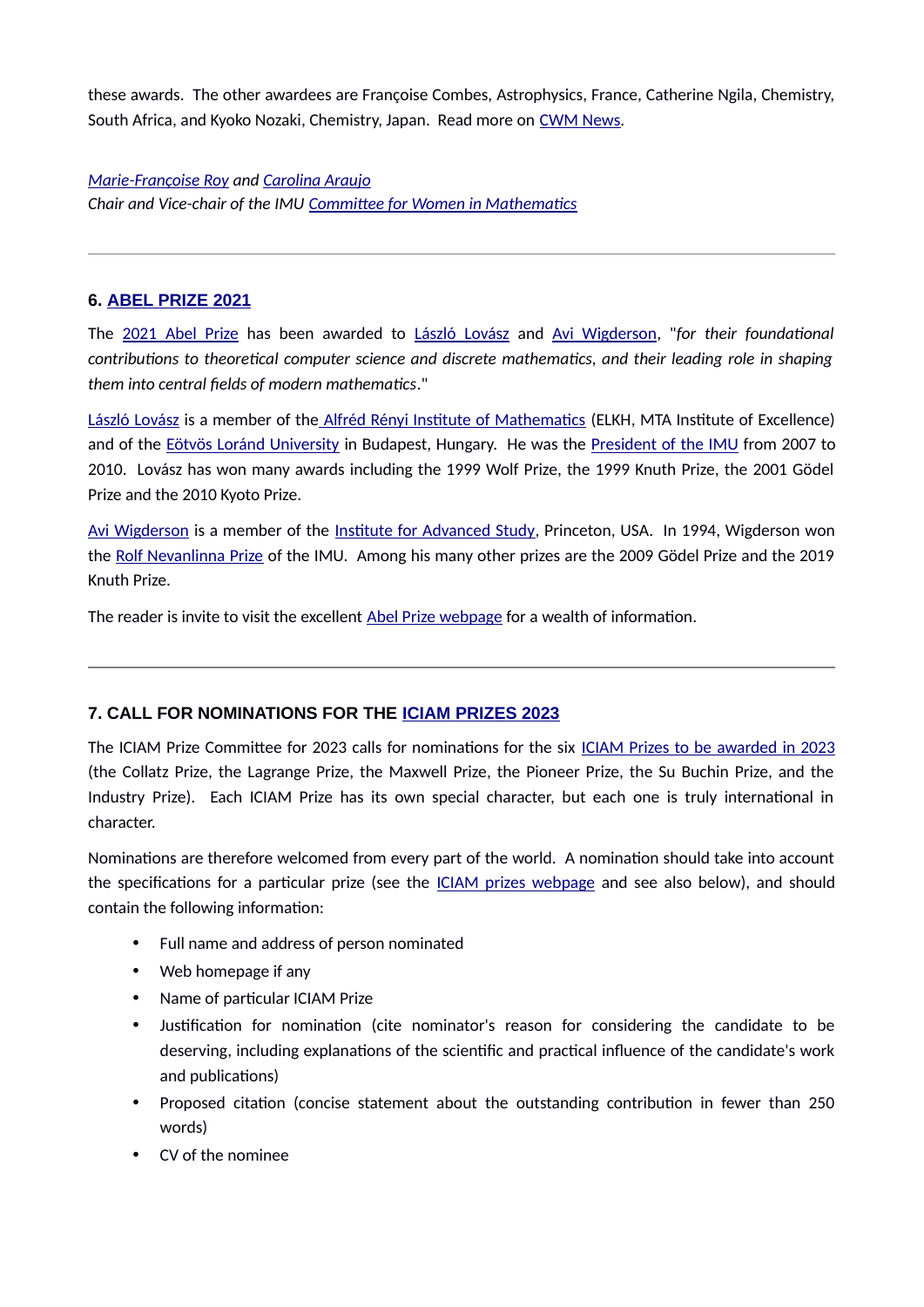these awards. The other awardees are Françoise Combes, Astrophysics, France, Catherine Ngila, Chemistry, South Africa, and Kyoko Nozaki, Chemistry, Japan. Read more on [CWM News.](https://www.mathunion.org/cwm/news)

*Marie-Françoise Roy and Carolina Araujo* **Chair and Vice-chair of the IMU Committee for Women in Mathematics** 

### **6. [ABEL PRIZE 2021](https://www.abelprize.no/c76389/seksjon/vis.html?tid=76390)**

The 2021 Abel Prize has been awarded to [László Lovász](https://web.cs.elte.hu/~lovasz/) and Avi Wigderson, "for their foundational *contributions to theoretical computer science and discrete mathematics, and their leading role in shaping* them into central fields of modern mathematics."

[László Lovász](https://web.cs.elte.hu/~lovasz/) is a member of the Alfréd Rényi Institute of Mathematics (ELKH, MTA Institute of Excellence) and of the Eötvös Loránd University in Budapest, Hungary. He was the President of the IMU from 2007 to 2010. Lovász has won many awards including the 1999 Wolf Prize, the 1999 Knuth Prize, the 2001 Gödel Prize and the 2010 Kyoto Prize.

Avi Wigderson is a member of the Institute for Advanced Study, Princeton, USA. In 1994, Wigderson won the Rolf Nevanlinna Prize of the IMU. Among his many other prizes are the 2009 Gödel Prize and the 2019 Knuth Prize.

The reader is invite to visit the excellent Abel Prize webpage for a wealth of information.

# **7. CALL FOR NOMINATIONS FOR THE [ICIAM PRIZES 2023](https://iciam.org/iciam-prizes)**

The ICIAM Prize Committee for 2023 calls for nominations for the six ICIAM Prizes to be awarded in 2023 (the Collatz Prize, the Lagrange Prize, the Maxwell Prize, the Pioneer Prize, the Su Buchin Prize, and the Industry Prize). Each ICIAM Prize has its own special character, but each one is truly international in character.

Nominations are therefore welcomed from every part of the world. A nomination should take into account the specifications for a particular prize (see the ICIAM prizes webpage and see also below), and should contain the following information:

- Full name and address of person nominated
- $\bullet$  Web homepage if any
- Name of particular ICIAM Prize
- Justification for nomination (cite nominator's reason for considering the candidate to be deserving, including explanations of the scientific and practical influence of the candidate's work and publications)
- Proposed citation (concise statement about the outstanding contribution in fewer than 250 words)
- CV of the nominee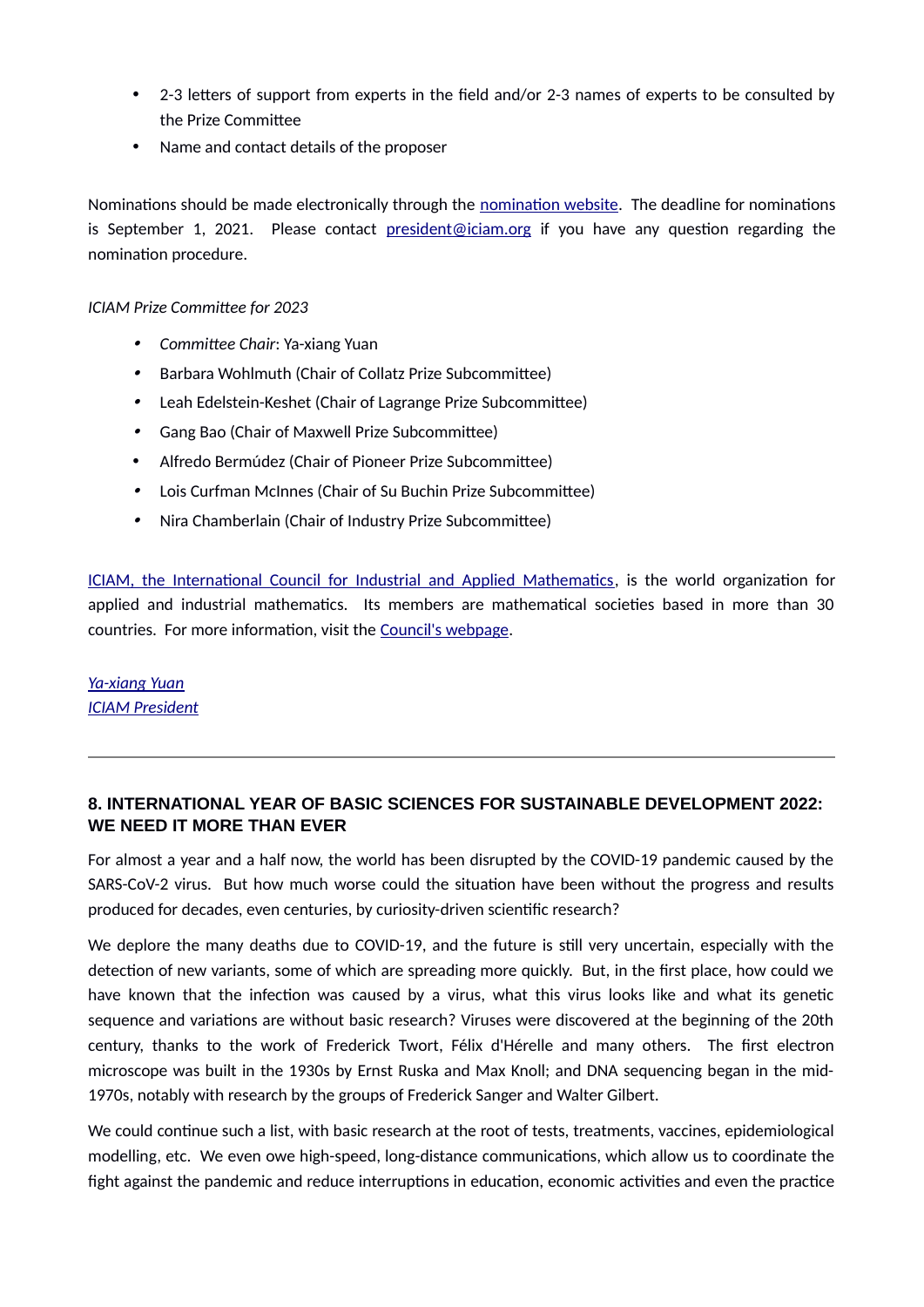- 2-3 letters of support from experts in the field and/or 2-3 names of experts to be consulted by the Prize Committee
- Name and contact details of the proposer

Nominations should be made electronically through the nomination website. The deadline for nominations is September 1, 2021. Please contact **president@iciam.org** if you have any question regarding the nomination procedure.

### *ICIAM Prize Commitee for 2023*

- *Commitee Chiir*: Ya-xiang Yuan
- $\bullet$ Barbara Wohlmuth (Chair of Collatz Prize Subcommittee)
- $\bullet$   $\;\;$  Leah Edelstein-Keshet (Chair of Lagrange Prize Subcommittee)
- $\bullet$   $\;$  Gang Bao (Chair of Maxwell Prize Subcommittee)
- Alfredo Bermúdez (Chair of Pioneer Prize Subcommittee)
- $\bullet$   $\;$  Lois Curfman McInnes (Chair of Su Buchin Prize Subcommittee)
- $\bullet$ Nira Chamberlain (Chair of Industry Prize Subcommittee)

ICIAM, the International Council for Industrial and Applied Mathematics, is the world organization for applied and industrial mathematics. Its members are mathematical societies based in more than 30 countries. For more information, visit the Council's webpage.

# **Ya-xiang Yuan ICIAM President**

# **8. INTERNATIONAL YEAR OF BASIC SCIENCES FOR SUSTAINABLE DEVELOPMENT 2022: WE NEED IT MORE THAN EVER**

For almost a year and a half now, the world has been disrupted by the COVID-19 pandemic caused by the SARS-CoV-2 virus. But how much worse could the situation have been without the progress and results produced for decades, even centuries, by curiosity-driven scientific research?

We deplore the many deaths due to COVID-19, and the future is still very uncertain, especially with the detection of new variants, some of which are spreading more quickly. But, in the first place, how could we have known that the infection was caused by a virus, what this virus looks like and what its genetic sequence and variations are without basic research? Viruses were discovered at the beginning of the 20th century, thanks to the work of Frederick Twort, Félix d'Hérelle and many others. The first electron microscope was built in the 1930s by Ernst Ruska and Max Knoll; and DNA sequencing began in the mid-1970s, notably with research by the groups of Frederick Sanger and Walter Gilbert.

We could continue such a list, with basic research at the root of tests, treatments, vaccines, epidemiological modelling, etc. We even owe high-speed, long-distance communications, which allow us to coordinate the fight against the pandemic and reduce interruptions in education, economic activities and even the practice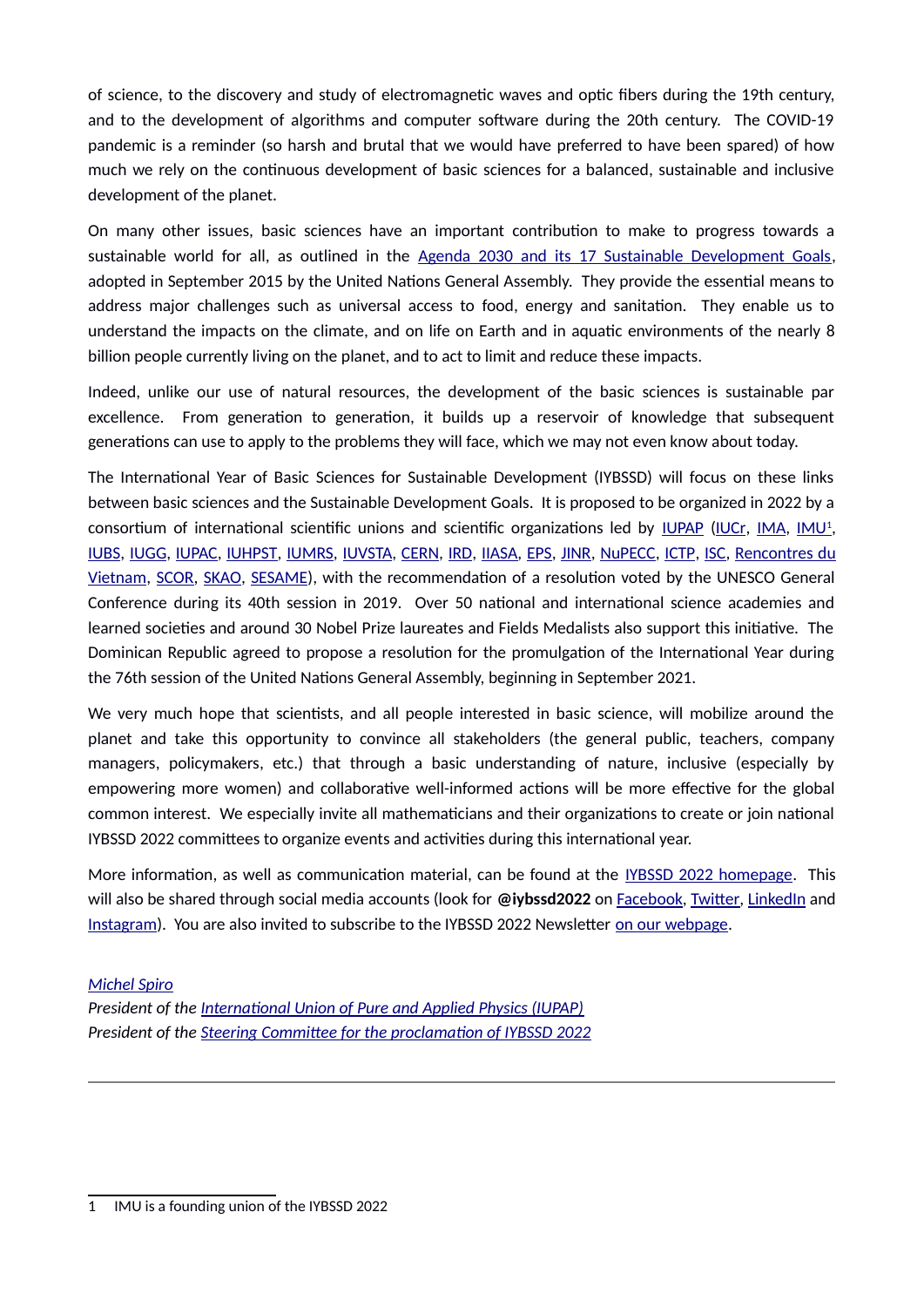of science, to the discovery and study of electromagnetic waves and optic fibers during the 19th century, and to the development of algorithms and computer software during the 20th century. The COVID-19 pandemic is a reminder (so harsh and brutal that we would have preferred to have been spared) of how much we rely on the continuous development of basic sciences for a balanced, sustainable and inclusive development of the planet.

On many other issues, basic sciences have an important contribution to make to progress towards a sustainable world for all, as outlined in the [Agenda 2030 and its 17 Sustainable Development Goals,](https://sdgs.un.org/) adopted in September 2015 by the United Nations General Assembly. They provide the essential means to address major challenges such as universal access to food, energy and sanitation. They enable us to understand the impacts on the climate, and on life on Earth and in aquatic environments of the nearly 8 billion people currently living on the planet, and to act to limit and reduce these impacts.

Indeed, unlike our use of natural resources, the development of the basic sciences is sustainable par excellence. From generation to generation, it builds up a reservoir of knowledge that subsequent generations can use to apply to the problems they will face, which we may not even know about today.

The International Year of Basic Sciences for Sustainable Development (IYBSSD) will focus on these links between basic sciences and the Sustainable Development Goals. It is proposed to be organized in 2022 by a consortium of international scientific unions and scientific organizations led by <u>IUPAP</u> (<u>IUCr, [IMA,](https://ima-mineralogy.org/) IMU<sup>1</sup>,</u> IUBS, IUGG, IUPAC, IUHPST, IUMRS, IUVSTA, [CERN,](https://home.cern/) [IRD,](https://en.ird.fr/) [IIASA,](https://iiasa.ac.at/) [EPS,](https://www.eps.org/) [JINR,](http://www.jinr.ru/main-en/) [NuPECC,](http://www.nupecc.org/) [ICTP,](https://www.ictp.it/) [ISC,](https://council.science/) Rencontres du [Vietnam,](https://rencontresduvietnam.org/) [SCOR,](https://scor-int.org/) [SKAO,](https://www.skatelescope.org/) [SESAME\)](http://sesame.org.jo/), with the recommendation of a resolution voted by the UNESCO General Conference during its 40th session in 2019. Over 50 national and international science academies and learned societies and around 30 Nobel Prize laureates and Fields Medalists also support this initiative. The Dominican Republic agreed to propose a resolution for the promulgation of the International Year during the 76th session of the United Nations General Assembly, beginning in September 2021.

We very much hope that scientists, and all people interested in basic science, will mobilize around the planet and take this opportunity to convince all stakeholders (the general public, teachers, company managers, policymakers, etc.) that through a basic understanding of nature, inclusive (especially by empowering more women) and collaborative well-informed actions will be more effective for the global common interest. We especially invite all mathematicians and their organizations to create or join national IYBSSD 2022 committees to organize events and activities during this international year.

More information, as well as communication material, can be found at the [IYBSSD 2022 homepage.](https://www.iybssd2022.org/) This will also be shared through social media accounts (look for @iybssd2022 on Facebook, Twitter, [LinkedIn](https://www.linkedin.com/company/international-year-of-basic-sciences-for-development/) and Instagram). You are also invited to subscribe to the IYBSSD 2022 Newsletter on our webpage.

#### *[Michel Spiro](https://www.iybssd2022.org/en/dt_team/michel-spiro/)*

**President of the International Union of Pure and Applied Physics (IUPAP)** President of the *Steering Committee for the proclamation of IYBSSD 2022* 

<span id="page-6-0"></span><sup>1</sup> IMU is a founding union of the IYBSSD 2022